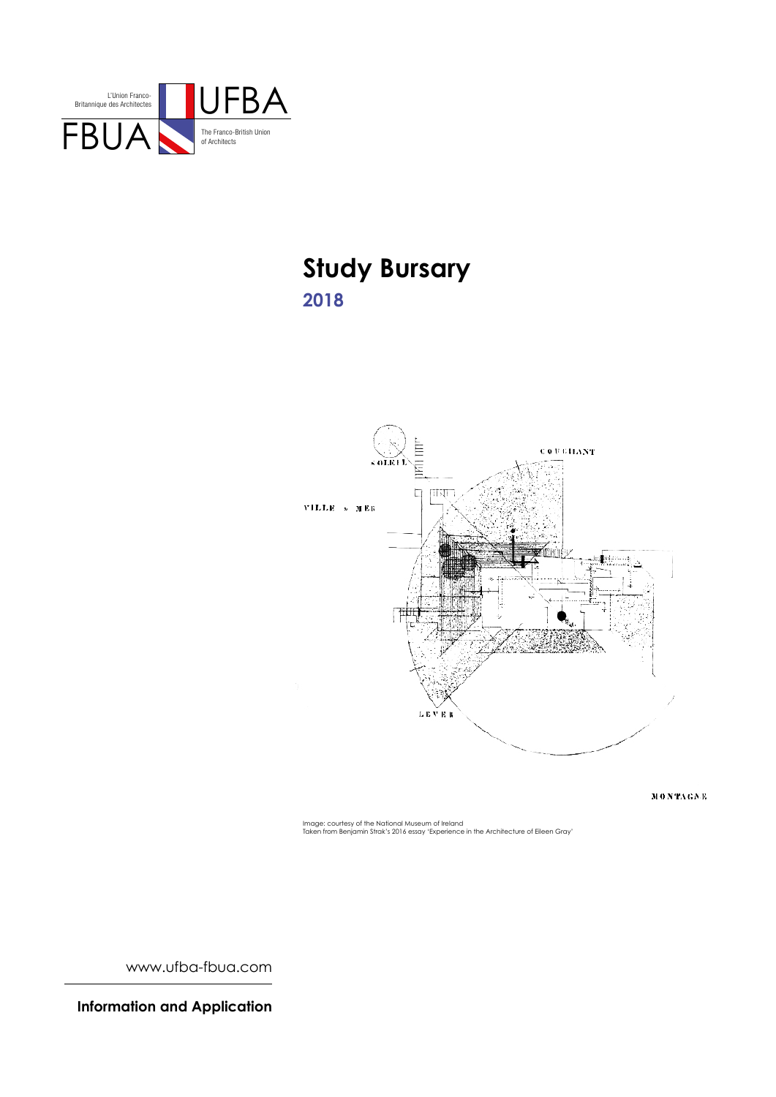

## **Study Bursary 2018**



 ${\bf M}$ 0 N ${\bf T} \Lambda$ GN-R

Image: courtesy of the National Museum of Ireland Taken from Benjamin Strak's 2016 essay 'Experience in the Architecture of Eileen Gray'

www.ufba-fbua.com

**Information and Application**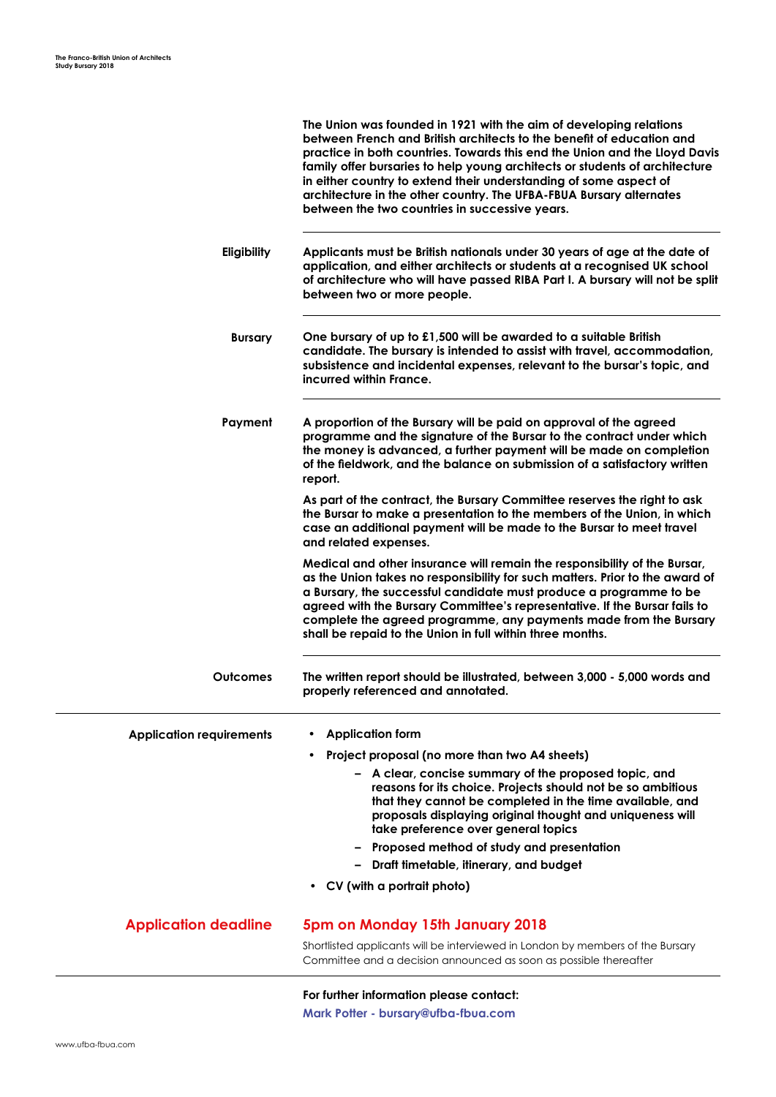|                                 | The Union was founded in 1921 with the aim of developing relations<br>between French and British architects to the benefit of education and<br>practice in both countries. Towards this end the Union and the Lloyd Davis<br>family offer bursaries to help young architects or students of architecture<br>in either country to extend their understanding of some aspect of<br>architecture in the other country. The UFBA-FBUA Bursary alternates<br>between the two countries in successive years. |
|---------------------------------|--------------------------------------------------------------------------------------------------------------------------------------------------------------------------------------------------------------------------------------------------------------------------------------------------------------------------------------------------------------------------------------------------------------------------------------------------------------------------------------------------------|
| Eligibility                     | Applicants must be British nationals under 30 years of age at the date of<br>application, and either architects or students at a recognised UK school<br>of architecture who will have passed RIBA Part I. A bursary will not be split<br>between two or more people.                                                                                                                                                                                                                                  |
| <b>Bursary</b>                  | One bursary of up to £1,500 will be awarded to a suitable British<br>candidate. The bursary is intended to assist with travel, accommodation,<br>subsistence and incidental expenses, relevant to the bursar's topic, and<br>incurred within France.                                                                                                                                                                                                                                                   |
| Payment                         | A proportion of the Bursary will be paid on approval of the agreed<br>programme and the signature of the Bursar to the contract under which<br>the money is advanced, a further payment will be made on completion<br>of the fieldwork, and the balance on submission of a satisfactory written<br>report.                                                                                                                                                                                             |
|                                 | As part of the contract, the Bursary Committee reserves the right to ask<br>the Bursar to make a presentation to the members of the Union, in which<br>case an additional payment will be made to the Bursar to meet travel<br>and related expenses.                                                                                                                                                                                                                                                   |
|                                 | Medical and other insurance will remain the responsibility of the Bursar,<br>as the Union takes no responsibility for such matters. Prior to the award of<br>a Bursary, the successful candidate must produce a programme to be<br>agreed with the Bursary Committee's representative. If the Bursar fails to<br>complete the agreed programme, any payments made from the Bursary<br>shall be repaid to the Union in full within three months.                                                        |
| Outcomes                        | The written report should be illustrated, between 3,000 - 5,000 words and<br>properly referenced and annotated.                                                                                                                                                                                                                                                                                                                                                                                        |
| <b>Application requirements</b> | <b>Application form</b>                                                                                                                                                                                                                                                                                                                                                                                                                                                                                |
|                                 | Project proposal (no more than two A4 sheets)                                                                                                                                                                                                                                                                                                                                                                                                                                                          |
|                                 | - A clear, concise summary of the proposed topic, and<br>reasons for its choice. Projects should not be so ambitious<br>that they cannot be completed in the time available, and<br>proposals displaying original thought and uniqueness will<br>take preference over general topics<br>- Proposed method of study and presentation<br>- Draft timetable, itinerary, and budget                                                                                                                        |
|                                 | • CV (with a portrait photo)                                                                                                                                                                                                                                                                                                                                                                                                                                                                           |
|                                 |                                                                                                                                                                                                                                                                                                                                                                                                                                                                                                        |
| <b>Application deadline</b>     | 5pm on Monday 15th January 2018                                                                                                                                                                                                                                                                                                                                                                                                                                                                        |
|                                 | Shortlisted applicants will be interviewed in London by members of the Bursary<br>Committee and a decision announced as soon as possible thereafter                                                                                                                                                                                                                                                                                                                                                    |

**For further information please contact: Mark Potter - bursary@ufba-fbua.com**

 $\sim$